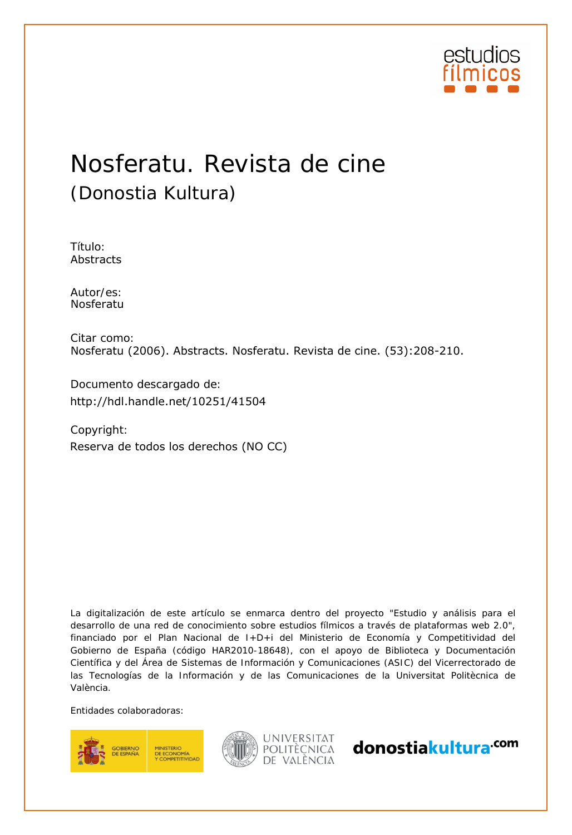

# Nosferatu. Revista de cine (Donostia Kultura)

Título: Abstracts

Autor/es:<br>Nosferatu

Citar como: Nosferatu (2006). Abstracts. Nosferatu. Revista de cine. (53):208-210.

Documento descargado de:

Copyright: http://hdl.handle.net/10251/41504<br>Copyright:<br>Reserva de todos los derechos (NO CC)

La digitalización de este artículo se enmarca dentro del proyecto "Estudio y análisis para el desarrollo de una red de conocimiento sobre estudios fílmicos a través de plataformas web 2.0", financiado por el Plan Nacional de I+D+i del Ministerio de Economía y Competitividad del Gobierno de España (código HAR2010-18648), con el apoyo de Biblioteca y Documentación Científica y del Área de Sistemas de Información y Comunicaciones (ASIC) del Vicerrectorado de las Tecnologías de la Información y de las Comunicaciones de la Universitat Politècnica de València.

Entidades colaboradoras:





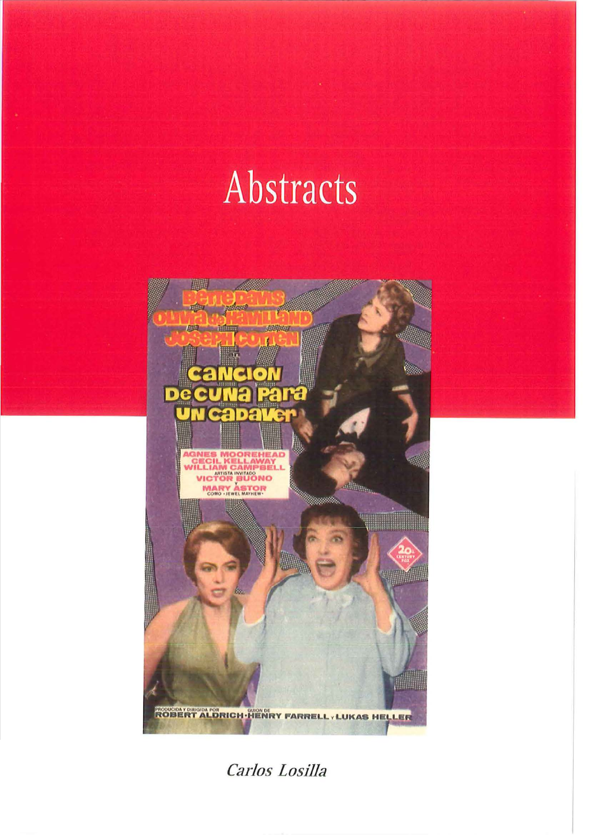# Abstracts



Carlos Losilla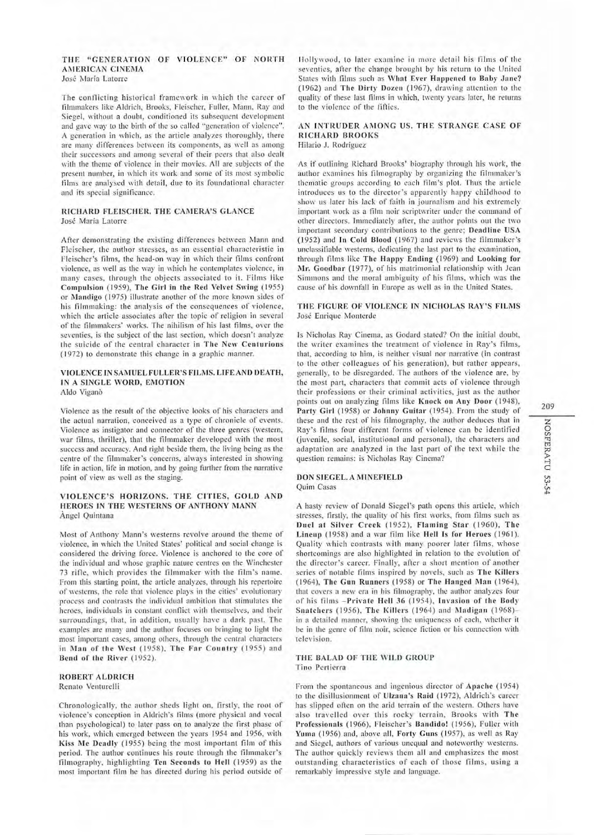# THE "GENERATION OF VIOLENCE" OF NORTH AMERICAN CINEMA José María Latorre

The conflicting historical framework in which the career of filmmakers like Aldrich, Brooks, Fleischer, Fuller, Mann, Ray and Siegel, without a doubt, conditioned its subsequent development and gave way to the birth of the so called "generation of violence". A generation in which, as the article analyzes thoroughly, there are many differences between its components, as well as among their successors and among several of their peers that also dealt with the theme of violence in their movies. All are subjects of the present number, in which its work and some of its most symbolic films are analysed with detail, due to its foundational character and its special significance.

# RICHARD FLEISCHER, THE CAMERA'S GLANCE José María Latorre

After demonstrating the existing differences between Mann and Fleischer, the author stresses, as an essential characteristic in Fleischer's films, the head-on way in which their films confront violence, as well as the way in which he contemplates violence, in many cases, through the objects associated to it. Films like Compulsion (1959), The Girl in the Red Velvet Swing (1955) or Mandigo (1975) illustrate another of the more known sides of his filmmaking: the analysis of the consequences of violence, which the article associates after the topic of religion in several of the filmmakers' works. The nihilism of his last films, over the seventies, is the subject of the last section, which doesn't analyze the suicide of the central character in The New Centurions (1972) to demonstrate this change in a graphic manner.

# VIOLENCE IN SAMUEL FULLER'S FILMS. LIFE AND DEATH, IN A SINGLE WORD, EMOTION Aldo Viganò

Violence as the result of the objective looks of his characters and the actual narration, conceived as a type of chronicle of events. Violence as instigator and connector of the three genres (western, war films, thriller), that the filmmaker developed with the most success and accuracy. And right beside them, the living being as the centre of the filmmaker's concerns, always interested in showing life in action, life in motion, and by going further from the narrative point of view as well as the staging.

# VIOLENCE'S HORIZONS. THE CITIES, GOLD AND HEROES IN THE WESTERNS OF ANTHONY MANN Angel Quintana

Most of Anthony Mann's westerns revolve around the theme of violence, in which the United States' political and social change is considered the driving force. Violence is anchored to the core of the individual and whose graphic nature centres on the Winchester 73 rifle, which provides the filmmaker with the film's name. From this starting point, the article analyzes, through his repertoire of westerns, the role that violence plays in the cities' evolutionary process and contrasts the individual ambition that stimulates the heroes, individuals in constant conflict with themselves, and their surroundings, that, in addition, usually have a dark past. The examples are many and the author focuses on bringing to light the most important cases, among others, through the central characters in Man of the West (1958), The Far Country (1955) and Bend of the River (1952).

# **ROBERT ALDRICH** Renato Venturelli

Chronologically, the author sheds light on, firstly, the root of violence's conception in Aldrich's films (more physical and vocal than psychological) to later pass on to analyze the first phase of his work, which emerged between the years 1954 and 1956, with Kiss Me Deadly (1955) being the most important film of this period. The author continues his route through the filmmaker's filmography, highlighting Ten Seconds to Hell (1959) as the most important film he has directed during his period outside of

Hollywood, to later examine in more detail his films of the seventies, after the change brought by his return to the United States with films such as What Ever Happened to Baby Jane? (1962) and The Dirty Dozen (1967), drawing attention to the quality of these last films in which, twenty years later, he returns to the violence of the fifties.

# AN INTRUDER AMONG US. THE STRANGE CASE OF **RICHARD BROOKS** Hilario J. Rodríguez

As if outlining Richard Brooks' biography through his work, the author examines his filmography by organizing the filmmaker's thematic groups according to each film's plot. Thus the article introduces us to the director's apparently happy childhood to show us later his lack of faith in journalism and his extremely important work as a film noir scriptwriter under the command of other directors. Immediately after, the author points out the two important secondary contributions to the genre; Deadline USA (1952) and In Cold Blood (1967) and reviews the filmmaker's unclassifiable westerns, dedicating the last part to the examination, through films like The Happy Ending (1969) and Looking for Mr. Goodbar (1977), of his matrimonial relationship with Jean Simmons and the moral ambiguity of his films, which was the cause of his downfall in Europe as well as in the United States.

# THE FIGURE OF VIOLENCE IN NICHOLAS RAY'S FILMS José Enrique Monterde

Is Nicholas Ray Cinema, as Godard stated? On the initial doubt, the writer examines the treatment of violence in Ray's films, that, according to him, is neither visual nor narrative (in contrast to the other colleagues of his generation), but rather appears, generally, to be disregarded. The authors of the violence are, by the most part, characters that commit acts of violence through their professions or their criminal activities, just as the author points out on analyzing films like Knock on Any Door (1948), Party Girl (1958) or Johnny Guitar (1954). From the study of these and the rest of his filmography, the author deduces that in Ray's films four different forms of violence can be identified (juvenile, social, institutional and personal), the characters and adaptation are analyzed in the last part of the text while the question remains: is Nicholas Ray Cinema?

# DON SIEGEL. A MINEFIELD

Quim Casas

A hasty review of Donald Siegel's path opens this article, which stresses, firstly, the quality of his first works, from films such as Duel at Silver Creek (1952), Flaming Star (1960), The Lineup (1958) and a war film like Hell Is for Heroes (1961). Quality which contrasts with many poorer later films, whose shortcomings are also highlighted in relation to the evolution of the director's career. Finally, after a short mention of another series of notable films inspired by novels, such as The Killers (1964), The Gun Runners (1958) or The Hanged Man (1964), that covers a new era in his filmography, the author analyzes four of his films -Private Hell 36 (1954), Invasion of the Body Snatchers (1956), The Killers (1964) and Madigan (1968)in a detailed manner, showing the uniqueness of each, whether it be in the genre of film noir, science fiction or his connection with television.

# THE BALAD OF THE WILD GROUP Tino Pertierra

From the spontaneous and ingenious director of Apache (1954) to the disillusionment of Ulzana's Raid (1972), Aldrich's career has slipped often on the arid terrain of the western. Others have also travelled over this rocky terrain, Brooks with The Professionals (1966), Fleischer's Bandido! (1956), Fuller with Yuma (1956) and, above all, Forty Guns (1957), as well as Ray and Siegel, authors of various unequal and noteworthy westerns. The author quickly reviews them all and emphasizes the most outstanding characteristics of each of those films, using a remarkably impressive style and language.